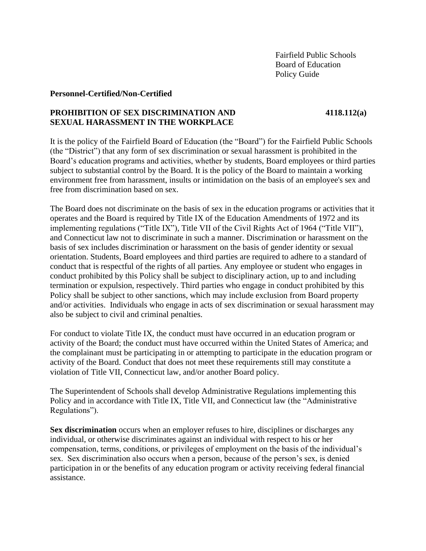### **Personnel-Certified/Non-Certified**

# **PROHIBITION OF SEX DISCRIMINATION AND 4118.112(a) SEXUAL HARASSMENT IN THE WORKPLACE**

It is the policy of the Fairfield Board of Education (the "Board") for the Fairfield Public Schools (the "District") that any form of sex discrimination or sexual harassment is prohibited in the Board's education programs and activities, whether by students, Board employees or third parties subject to substantial control by the Board. It is the policy of the Board to maintain a working environment free from harassment, insults or intimidation on the basis of an employee's sex and free from discrimination based on sex.

The Board does not discriminate on the basis of sex in the education programs or activities that it operates and the Board is required by Title IX of the Education Amendments of 1972 and its implementing regulations ("Title IX"), Title VII of the Civil Rights Act of 1964 ("Title VII"), and Connecticut law not to discriminate in such a manner. Discrimination or harassment on the basis of sex includes discrimination or harassment on the basis of gender identity or sexual orientation. Students, Board employees and third parties are required to adhere to a standard of conduct that is respectful of the rights of all parties. Any employee or student who engages in conduct prohibited by this Policy shall be subject to disciplinary action, up to and including termination or expulsion, respectively. Third parties who engage in conduct prohibited by this Policy shall be subject to other sanctions, which may include exclusion from Board property and/or activities. Individuals who engage in acts of sex discrimination or sexual harassment may also be subject to civil and criminal penalties.

For conduct to violate Title IX, the conduct must have occurred in an education program or activity of the Board; the conduct must have occurred within the United States of America; and the complainant must be participating in or attempting to participate in the education program or activity of the Board. Conduct that does not meet these requirements still may constitute a violation of Title VII, Connecticut law, and/or another Board policy.

The Superintendent of Schools shall develop Administrative Regulations implementing this Policy and in accordance with Title IX, Title VII, and Connecticut law (the "Administrative") Regulations").

**Sex discrimination** occurs when an employer refuses to hire, disciplines or discharges any individual, or otherwise discriminates against an individual with respect to his or her compensation, terms, conditions, or privileges of employment on the basis of the individual's sex. Sex discrimination also occurs when a person, because of the person's sex, is denied participation in or the benefits of any education program or activity receiving federal financial assistance.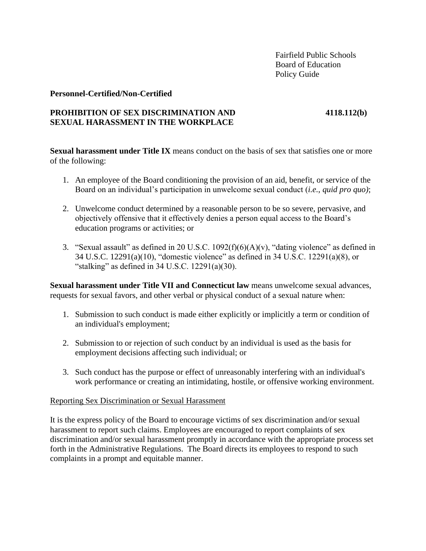### **Personnel-Certified/Non-Certified**

# **PROHIBITION OF SEX DISCRIMINATION AND 4118.112(b) SEXUAL HARASSMENT IN THE WORKPLACE**

**Sexual harassment under Title IX** means conduct on the basis of sex that satisfies one or more of the following:

- 1. An employee of the Board conditioning the provision of an aid, benefit, or service of the Board on an individual's participation in unwelcome sexual conduct (*i.e.*, *quid pro quo)*;
- 2. Unwelcome conduct determined by a reasonable person to be so severe, pervasive, and objectively offensive that it effectively denies a person equal access to the Board's education programs or activities; or
- 3. "Sexual assault" as defined in 20 U.S.C.  $1092(f)(6)(A)(v)$ , "dating violence" as defined in 34 U.S.C. 12291(a)(10), "domestic violence" as defined in 34 U.S.C. 12291(a)(8), or "stalking" as defined in  $34$  U.S.C.  $12291(a)(30)$ .

**Sexual harassment under Title VII and Connecticut law** means unwelcome sexual advances, requests for sexual favors, and other verbal or physical conduct of a sexual nature when:

- 1. Submission to such conduct is made either explicitly or implicitly a term or condition of an individual's employment;
- 2. Submission to or rejection of such conduct by an individual is used as the basis for employment decisions affecting such individual; or
- 3. Such conduct has the purpose or effect of unreasonably interfering with an individual's work performance or creating an intimidating, hostile, or offensive working environment.

## Reporting Sex Discrimination or Sexual Harassment

It is the express policy of the Board to encourage victims of sex discrimination and/or sexual harassment to report such claims. Employees are encouraged to report complaints of sex discrimination and/or sexual harassment promptly in accordance with the appropriate process set forth in the Administrative Regulations. The Board directs its employees to respond to such complaints in a prompt and equitable manner.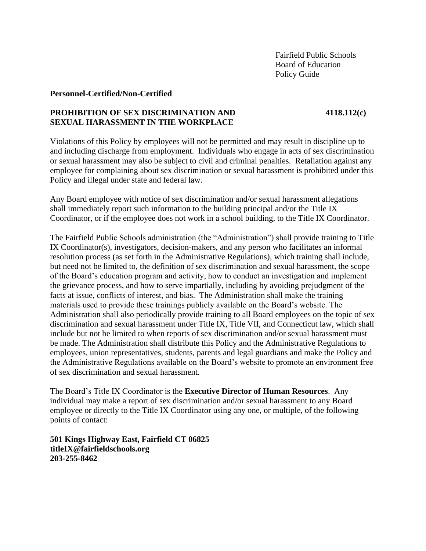### **Personnel-Certified/Non-Certified**

# **PROHIBITION OF SEX DISCRIMINATION AND 4118.112(c) SEXUAL HARASSMENT IN THE WORKPLACE**

Violations of this Policy by employees will not be permitted and may result in discipline up to and including discharge from employment. Individuals who engage in acts of sex discrimination or sexual harassment may also be subject to civil and criminal penalties. Retaliation against any employee for complaining about sex discrimination or sexual harassment is prohibited under this Policy and illegal under state and federal law.

Any Board employee with notice of sex discrimination and/or sexual harassment allegations shall immediately report such information to the building principal and/or the Title IX Coordinator, or if the employee does not work in a school building, to the Title IX Coordinator.

The Fairfield Public Schools administration (the "Administration") shall provide training to Title IX Coordinator(s), investigators, decision-makers, and any person who facilitates an informal resolution process (as set forth in the Administrative Regulations), which training shall include, but need not be limited to, the definition of sex discrimination and sexual harassment, the scope of the Board's education program and activity, how to conduct an investigation and implement the grievance process, and how to serve impartially, including by avoiding prejudgment of the facts at issue, conflicts of interest, and bias. The Administration shall make the training materials used to provide these trainings publicly available on the Board's website. The Administration shall also periodically provide training to all Board employees on the topic of sex discrimination and sexual harassment under Title IX, Title VII, and Connecticut law, which shall include but not be limited to when reports of sex discrimination and/or sexual harassment must be made. The Administration shall distribute this Policy and the Administrative Regulations to employees, union representatives, students, parents and legal guardians and make the Policy and the Administrative Regulations available on the Board's website to promote an environment free of sex discrimination and sexual harassment.

The Board's Title IX Coordinator is the **Executive Director of Human Resources**. Any individual may make a report of sex discrimination and/or sexual harassment to any Board employee or directly to the Title IX Coordinator using any one, or multiple, of the following points of contact:

**501 Kings Highway East, Fairfield CT 06825 titleIX@fairfieldschools.org 203-255-8462**